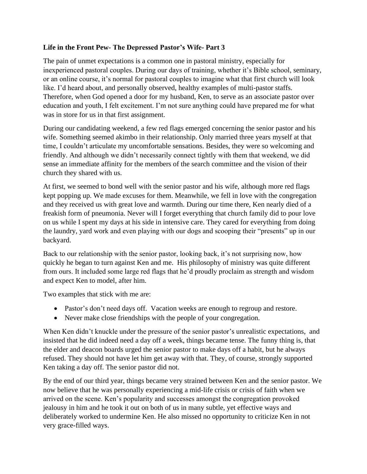## **Life in the Front Pew- The Depressed Pastor's Wife- Part 3**

The pain of unmet expectations is a common one in pastoral ministry, especially for inexperienced pastoral couples. During our days of training, whether it's Bible school, seminary, or an online course, it's normal for pastoral couples to imagine what that first church will look like. I'd heard about, and personally observed, healthy examples of multi-pastor staffs. Therefore, when God opened a door for my husband, Ken, to serve as an associate pastor over education and youth, I felt excitement. I'm not sure anything could have prepared me for what was in store for us in that first assignment.

During our candidating weekend, a few red flags emerged concerning the senior pastor and his wife. Something seemed akimbo in their relationship. Only married three years myself at that time, I couldn't articulate my uncomfortable sensations. Besides, they were so welcoming and friendly. And although we didn't necessarily connect tightly with them that weekend, we did sense an immediate affinity for the members of the search committee and the vision of their church they shared with us.

At first, we seemed to bond well with the senior pastor and his wife, although more red flags kept popping up. We made excuses for them. Meanwhile, we fell in love with the congregation and they received us with great love and warmth. During our time there, Ken nearly died of a freakish form of pneumonia. Never will I forget everything that church family did to pour love on us while I spent my days at his side in intensive care. They cared for everything from doing the laundry, yard work and even playing with our dogs and scooping their "presents" up in our backyard.

Back to our relationship with the senior pastor, looking back, it's not surprising now, how quickly he began to turn against Ken and me. His philosophy of ministry was quite different from ours. It included some large red flags that he'd proudly proclaim as strength and wisdom and expect Ken to model, after him.

Two examples that stick with me are:

- Pastor's don't need days off. Vacation weeks are enough to regroup and restore.
- Never make close friendships with the people of your congregation.

When Ken didn't knuckle under the pressure of the senior pastor's unrealistic expectations, and insisted that he did indeed need a day off a week, things became tense. The funny thing is, that the elder and deacon boards urged the senior pastor to make days off a habit, but he always refused. They should not have let him get away with that. They, of course, strongly supported Ken taking a day off. The senior pastor did not.

By the end of our third year, things became very strained between Ken and the senior pastor. We now believe that he was personally experiencing a mid-life crisis or crisis of faith when we arrived on the scene. Ken's popularity and successes amongst the congregation provoked jealousy in him and he took it out on both of us in many subtle, yet effective ways and deliberately worked to undermine Ken. He also missed no opportunity to criticize Ken in not very grace-filled ways.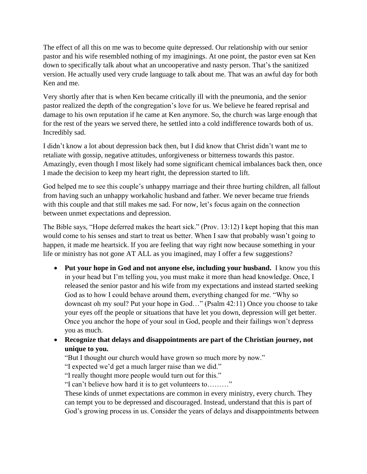The effect of all this on me was to become quite depressed. Our relationship with our senior pastor and his wife resembled nothing of my imaginings. At one point, the pastor even sat Ken down to specifically talk about what an uncooperative and nasty person. That's the sanitized version. He actually used very crude language to talk about me. That was an awful day for both Ken and me.

Very shortly after that is when Ken became critically ill with the pneumonia, and the senior pastor realized the depth of the congregation's love for us. We believe he feared reprisal and damage to his own reputation if he came at Ken anymore. So, the church was large enough that for the rest of the years we served there, he settled into a cold indifference towards both of us. Incredibly sad.

I didn't know a lot about depression back then, but I did know that Christ didn't want me to retaliate with gossip, negative attitudes, unforgiveness or bitterness towards this pastor. Amazingly, even though I most likely had some significant chemical imbalances back then, once I made the decision to keep my heart right, the depression started to lift.

God helped me to see this couple's unhappy marriage and their three hurting children, all fallout from having such an unhappy workaholic husband and father. We never became true friends with this couple and that still makes me sad. For now, let's focus again on the connection between unmet expectations and depression.

The Bible says, "Hope deferred makes the heart sick." (Prov. 13:12) I kept hoping that this man would come to his senses and start to treat us better. When I saw that probably wasn't going to happen, it made me heartsick. If you are feeling that way right now because something in your life or ministry has not gone AT ALL as you imagined, may I offer a few suggestions?

- **Put your hope in God and not anyone else, including your husband.** I know you this in your head but I'm telling you, you must make it more than head knowledge. Once, I released the senior pastor and his wife from my expectations and instead started seeking God as to how I could behave around them, everything changed for me. "Why so downcast oh my soul? Put your hope in God…" (Psalm 42:11) Once you choose to take your eyes off the people or situations that have let you down, depression will get better. Once you anchor the hope of your soul in God, people and their failings won't depress you as much.
- **Recognize that delays and disappointments are part of the Christian journey, not unique to you.**

"But I thought our church would have grown so much more by now."

"I expected we'd get a much larger raise than we did."

"I really thought more people would turn out for this."

"I can't believe how hard it is to get volunteers to………"

These kinds of unmet expectations are common in every ministry, every church. They can tempt you to be depressed and discouraged. Instead, understand that this is part of God's growing process in us. Consider the years of delays and disappointments between